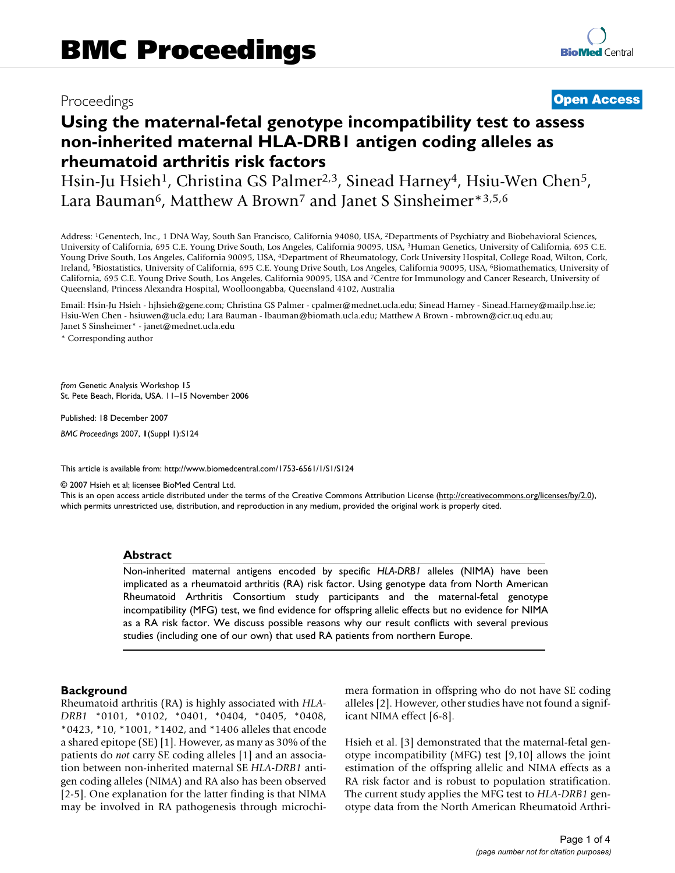# Proceedings **[Open Access](http://www.biomedcentral.com/info/about/charter/)**

# **Using the maternal-fetal genotype incompatibility test to assess non-inherited maternal HLA-DRB1 antigen coding alleles as rheumatoid arthritis risk factors**

Hsin-Ju Hsieh<sup>1</sup>, Christina GS Palmer<sup>2,3</sup>, Sinead Harney<sup>4</sup>, Hsiu-Wen Chen<sup>5</sup>, Lara Bauman<sup>6</sup>, Matthew A Brown<sup>7</sup> and Janet S Sinsheimer\*3,5,6

Address: 1Genentech, Inc., 1 DNA Way, South San Francisco, California 94080, USA, 2Departments of Psychiatry and Biobehavioral Sciences, University of California, 695 C.E. Young Drive South, Los Angeles, California 90095, USA, 3Human Genetics, University of California, 695 C.E. Young Drive South, Los Angeles, California 90095, USA, 4Department of Rheumatology, Cork University Hospital, College Road, Wilton, Cork, Ireland, 5Biostatistics, University of California, 695 C.E. Young Drive South, Los Angeles, California 90095, USA, 6Biomathematics, University of California, 695 C.E. Young Drive South, Los Angeles, California 90095, USA and 7Centre for Immunology and Cancer Research, University of Queensland, Princess Alexandra Hospital, Woolloongabba, Queensland 4102, Australia

Email: Hsin-Ju Hsieh - hjhsieh@gene.com; Christina GS Palmer - cpalmer@mednet.ucla.edu; Sinead Harney - Sinead.Harney@mailp.hse.ie; Hsiu-Wen Chen - hsiuwen@ucla.edu; Lara Bauman - lbauman@biomath.ucla.edu; Matthew A Brown - mbrown@cicr.uq.edu.au; Janet S Sinsheimer\* - janet@mednet.ucla.edu

\* Corresponding author

*from* Genetic Analysis Workshop 15 St. Pete Beach, Florida, USA. 11–15 November 2006

Published: 18 December 2007

*BMC Proceedings* 2007, **1**(Suppl 1):S124

[This article is available from: http://www.biomedcentral.com/1753-6561/1/S1/S124](http://www.biomedcentral.com/1753-6561/1/S1/S124)

© 2007 Hsieh et al; licensee BioMed Central Ltd.

This is an open access article distributed under the terms of the Creative Commons Attribution License [\(http://creativecommons.org/licenses/by/2.0\)](http://creativecommons.org/licenses/by/2.0), which permits unrestricted use, distribution, and reproduction in any medium, provided the original work is properly cited.

#### **Abstract**

Non-inherited maternal antigens encoded by specific *HLA-DRB1* alleles (NIMA) have been implicated as a rheumatoid arthritis (RA) risk factor. Using genotype data from North American Rheumatoid Arthritis Consortium study participants and the maternal-fetal genotype incompatibility (MFG) test, we find evidence for offspring allelic effects but no evidence for NIMA as a RA risk factor. We discuss possible reasons why our result conflicts with several previous studies (including one of our own) that used RA patients from northern Europe.

### **Background**

Rheumatoid arthritis (RA) is highly associated with *HLA-DRB1* \*0101, \*0102, \*0401, \*0404, \*0405, \*0408, \*0423, \*10, \*1001, \*1402, and \*1406 alleles that encode a shared epitope (SE) [1]. However, as many as 30% of the patients do *not* carry SE coding alleles [1] and an association between non-inherited maternal SE *HLA-DRB1* antigen coding alleles (NIMA) and RA also has been observed [2-5]. One explanation for the latter finding is that NIMA may be involved in RA pathogenesis through microchimera formation in offspring who do not have SE coding alleles [2]. However, other studies have not found a significant NIMA effect [6-8].

Hsieh et al. [3] demonstrated that the maternal-fetal genotype incompatibility (MFG) test [9,10] allows the joint estimation of the offspring allelic and NIMA effects as a RA risk factor and is robust to population stratification. The current study applies the MFG test to *HLA-DRB1* genotype data from the North American Rheumatoid Arthri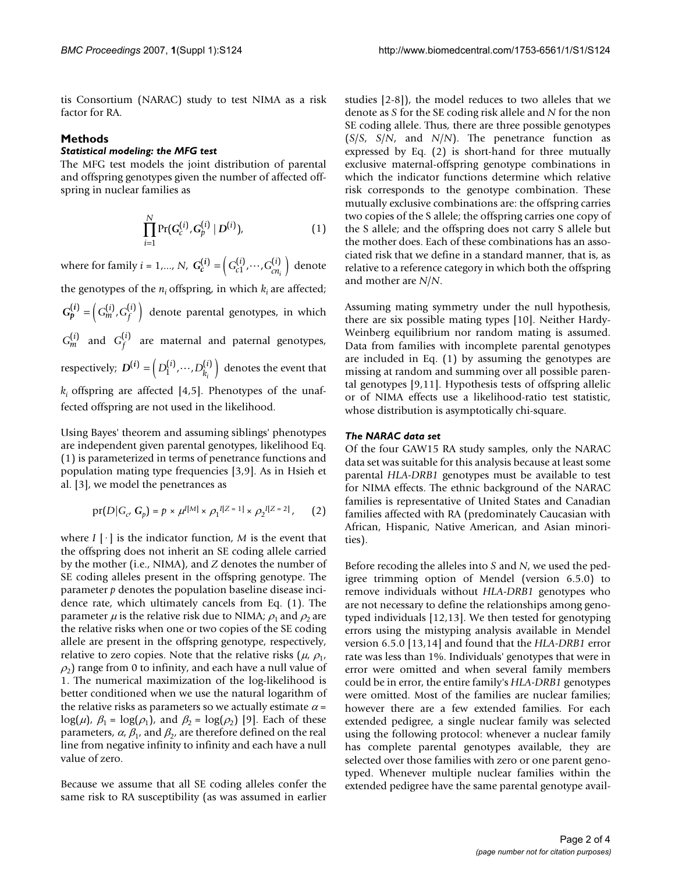tis Consortium (NARAC) study to test NIMA as a risk factor for RA.

## **Methods**

### *Statistical modeling: the MFG test*

The MFG test models the joint distribution of parental and offspring genotypes given the number of affected offspring in nuclear families as

$$
\prod_{i=1}^N \Pr(G_c^{(i)}, G_p^{(i)} | D^{(i)}), \tag{1}
$$

where for family  $i = 1,..., N$ ,  $G_c^{(i)} = (G_{c1}^{(i)}, \dots, G_{cn_i}^{(i)})$  denote the genotypes of the  $n_i$  offspring, in which  $k_i$  are affected;  $G_p^{(i)} = \left( G_m^{(i)}, G_f^{(i)} \right)$  denote parental genotypes, in which  $G_m^{(i)}$  and  $G_f^{(i)}$  are maternal and paternal genotypes,  $\text{respectively; } D^{(i)} = \left( D_1^{(i)}, \dots, D_{k_i}^{(i)} \right) \text{ denotes the event that }$  $k_i$  offspring are affected [4,5]. Phenotypes of the unaffected offspring are not used in the likelihood.  $\binom{i}{1}$ ,  $\cdots$ ,  $G_{cn_i}^{(i)}$ *i*  $D_{k_i}^{(i)}, \cdots, D_{k_i}^{(i)}$ 

Using Bayes' theorem and assuming siblings' phenotypes are independent given parental genotypes, likelihood Eq. (1) is parameterized in terms of penetrance functions and population mating type frequencies [3,9]. As in Hsieh et al. [3], we model the penetrances as

$$
pr(D|G_c, G_p) = p \times \mu^{I[M]} \times \rho_1^{I[Z=1]} \times \rho_2^{I[Z=2]},
$$
 (2)

where  $I[\cdot]$  is the indicator function,  $M$  is the event that the offspring does not inherit an SE coding allele carried by the mother (i.e., NIMA), and *Z* denotes the number of SE coding alleles present in the offspring genotype. The parameter *p* denotes the population baseline disease incidence rate, which ultimately cancels from Eq. (1). The parameter  $\mu$  is the relative risk due to NIMA;  $\rho_1$  and  $\rho_2$  are the relative risks when one or two copies of the SE coding allele are present in the offspring genotype, respectively, relative to zero copies. Note that the relative risks  $(\mu, \rho_1, \rho_2)$  $\rho_2$ ) range from 0 to infinity, and each have a null value of 1. The numerical maximization of the log-likelihood is better conditioned when we use the natural logarithm of the relative risks as parameters so we actually estimate  $\alpha$  = log( $\mu$ ),  $\beta_1 = \log(\rho_1)$ , and  $\beta_2 = \log(\rho_2)$  [9]. Each of these parameters,  $\alpha$ ,  $\beta_1$ , and  $\beta_2$ , are therefore defined on the real line from negative infinity to infinity and each have a null value of zero.

Because we assume that all SE coding alleles confer the same risk to RA susceptibility (as was assumed in earlier studies [2-8]), the model reduces to two alleles that we denote as *S* for the SE coding risk allele and *N* for the non SE coding allele. Thus, there are three possible genotypes (*S*/*S*, *S*/*N*, and *N*/*N*). The penetrance function as expressed by Eq. (2) is short-hand for three mutually exclusive maternal-offspring genotype combinations in which the indicator functions determine which relative risk corresponds to the genotype combination. These mutually exclusive combinations are: the offspring carries two copies of the S allele; the offspring carries one copy of the S allele; and the offspring does not carry S allele but the mother does. Each of these combinations has an associated risk that we define in a standard manner, that is, as relative to a reference category in which both the offspring and mother are *N*/*N*.

Assuming mating symmetry under the null hypothesis, there are six possible mating types [10]. Neither Hardy-Weinberg equilibrium nor random mating is assumed. Data from families with incomplete parental genotypes are included in Eq. (1) by assuming the genotypes are missing at random and summing over all possible parental genotypes [9,11]. Hypothesis tests of offspring allelic or of NIMA effects use a likelihood-ratio test statistic, whose distribution is asymptotically chi-square.

#### *The NARAC data set*

Of the four GAW15 RA study samples, only the NARAC data set was suitable for this analysis because at least some parental *HLA-DRB1* genotypes must be available to test for NIMA effects. The ethnic background of the NARAC families is representative of United States and Canadian families affected with RA (predominately Caucasian with African, Hispanic, Native American, and Asian minorities).

Before recoding the alleles into *S* and *N*, we used the pedigree trimming option of Mendel (version 6.5.0) to remove individuals without *HLA-DRB1* genotypes who are not necessary to define the relationships among genotyped individuals [12,13]. We then tested for genotyping errors using the mistyping analysis available in Mendel version 6.5.0 [13,14] and found that the *HLA-DRB1* error rate was less than 1%. Individuals' genotypes that were in error were omitted and when several family members could be in error, the entire family's *HLA-DRB1* genotypes were omitted. Most of the families are nuclear families; however there are a few extended families. For each extended pedigree, a single nuclear family was selected using the following protocol: whenever a nuclear family has complete parental genotypes available, they are selected over those families with zero or one parent genotyped. Whenever multiple nuclear families within the extended pedigree have the same parental genotype avail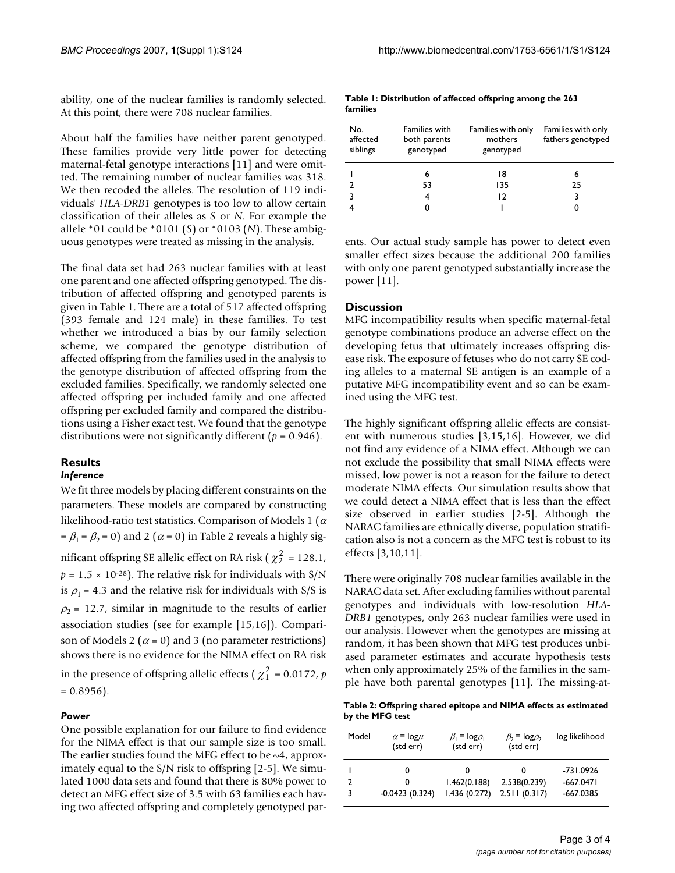ability, one of the nuclear families is randomly selected. At this point, there were 708 nuclear families.

About half the families have neither parent genotyped. These families provide very little power for detecting maternal-fetal genotype interactions [11] and were omitted. The remaining number of nuclear families was 318. We then recoded the alleles. The resolution of 119 individuals' *HLA-DRB1* genotypes is too low to allow certain classification of their alleles as *S* or *N*. For example the allele \*01 could be \*0101 (*S*) or \*0103 (*N*). These ambiguous genotypes were treated as missing in the analysis.

The final data set had 263 nuclear families with at least one parent and one affected offspring genotyped. The distribution of affected offspring and genotyped parents is given in Table 1. There are a total of 517 affected offspring (393 female and 124 male) in these families. To test whether we introduced a bias by our family selection scheme, we compared the genotype distribution of affected offspring from the families used in the analysis to the genotype distribution of affected offspring from the excluded families. Specifically, we randomly selected one affected offspring per included family and one affected offspring per excluded family and compared the distributions using a Fisher exact test. We found that the genotype distributions were not significantly different (*p* = 0.946).

#### **Results** *Inference*

We fit three models by placing different constraints on the parameters. These models are compared by constructing likelihood-ratio test statistics. Comparison of Models 1 ( $\alpha$  $= \beta_1 = \beta_2 = 0$ ) and 2 ( $\alpha = 0$ ) in Table 2 reveals a highly significant offspring SE allelic effect on RA risk ( $\chi^2$  = 128.1,  $p = 1.5 \times 10^{-28}$ ). The relative risk for individuals with S/N is  $\rho_1$  = 4.3 and the relative risk for individuals with S/S is  $\rho_2$  = 12.7, similar in magnitude to the results of earlier association studies (see for example [15,16]). Comparison of Models 2 ( $\alpha$  = 0) and 3 (no parameter restrictions) shows there is no evidence for the NIMA effect on RA risk in the presence of offspring allelic effects ( $\chi_1^2$  = 0.0172, *p*  $= 0.8956$ ).

### *Power*

One possible explanation for our failure to find evidence for the NIMA effect is that our sample size is too small. The earlier studies found the MFG effect to be  $\sim$ 4, approximately equal to the S/N risk to offspring [2-5]. We simulated 1000 data sets and found that there is 80% power to detect an MFG effect size of 3.5 with 63 families each having two affected offspring and completely genotyped par-

| Table 1: Distribution of affected offspring among the 263 |  |
|-----------------------------------------------------------|--|
| families                                                  |  |

| No.<br>affected<br>siblings | Families with<br>both parents<br>genotyped | Families with only<br>mothers<br>genotyped | Families with only<br>fathers genotyped |
|-----------------------------|--------------------------------------------|--------------------------------------------|-----------------------------------------|
|                             | 6                                          | 18                                         | 6                                       |
|                             | 53                                         | 135                                        | 25                                      |
|                             | 4                                          | 12                                         | 3                                       |
|                             |                                            |                                            | 0                                       |
|                             |                                            |                                            |                                         |

ents. Our actual study sample has power to detect even smaller effect sizes because the additional 200 families with only one parent genotyped substantially increase the power [11].

## **Discussion**

MFG incompatibility results when specific maternal-fetal genotype combinations produce an adverse effect on the developing fetus that ultimately increases offspring disease risk. The exposure of fetuses who do not carry SE coding alleles to a maternal SE antigen is an example of a putative MFG incompatibility event and so can be examined using the MFG test.

The highly significant offspring allelic effects are consistent with numerous studies [3,15,16]. However, we did not find any evidence of a NIMA effect. Although we can not exclude the possibility that small NIMA effects were missed, low power is not a reason for the failure to detect moderate NIMA effects. Our simulation results show that we could detect a NIMA effect that is less than the effect size observed in earlier studies [2-5]. Although the NARAC families are ethnically diverse, population stratification also is not a concern as the MFG test is robust to its effects [3,10,11].

There were originally 708 nuclear families available in the NARAC data set. After excluding families without parental genotypes and individuals with low-resolution *HLA-DRB1* genotypes, only 263 nuclear families were used in our analysis. However when the genotypes are missing at random, it has been shown that MFG test produces unbiased parameter estimates and accurate hypothesis tests when only approximately 25% of the families in the sample have both parental genotypes [11]. The missing-at-

**Table 2: Offspring shared epitope and NIMA effects as estimated by the MFG test**

| Model | $\alpha$ = $log \mu$<br>(std err) | $\beta_1 = \log \rho_1$<br>(std err) | $\beta_2$ = $log \beta_2$<br>(std err) | log likelihood |
|-------|-----------------------------------|--------------------------------------|----------------------------------------|----------------|
|       |                                   | O                                    |                                        | $-731.0926$    |
|       | 0                                 | 1.462(0.188)                         | 2.538(0.239)                           | $-667.0471$    |
|       | $-0.0423(0.324)$                  | 1.436(0.272)                         | 2.511(0.317)                           | -667.0385      |